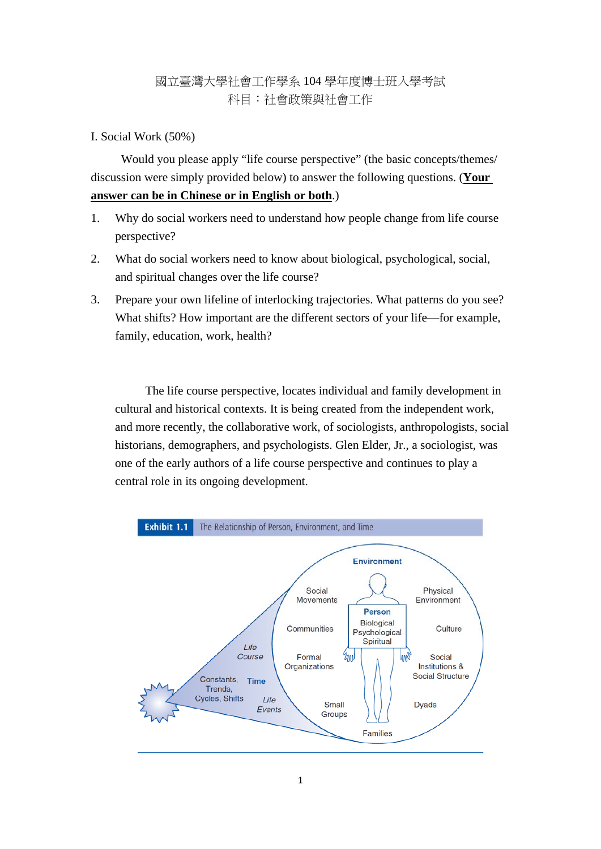# 國立臺灣大學社會工作學系 104 學年度博士班入學考試 科目:社會政策與社會工作

# I. Social Work (50%)

Would you please apply "life course perspective" (the basic concepts/themes/ discussion were simply provided below) to answer the following questions. (**Your answer can be in Chinese or in English or both**.)

- 1. Why do social workers need to understand how people change from life course perspective?
- 2. What do social workers need to know about biological, psychological, social, and spiritual changes over the life course?
- 3. Prepare your own lifeline of interlocking trajectories. What patterns do you see? What shifts? How important are the different sectors of your life—for example, family, education, work, health?

The life course perspective, locates individual and family development in cultural and historical contexts. It is being created from the independent work, and more recently, the collaborative work, of sociologists, anthropologists, social historians, demographers, and psychologists. Glen Elder, Jr., a sociologist, was one of the early authors of a life course perspective and continues to play a central role in its ongoing development.

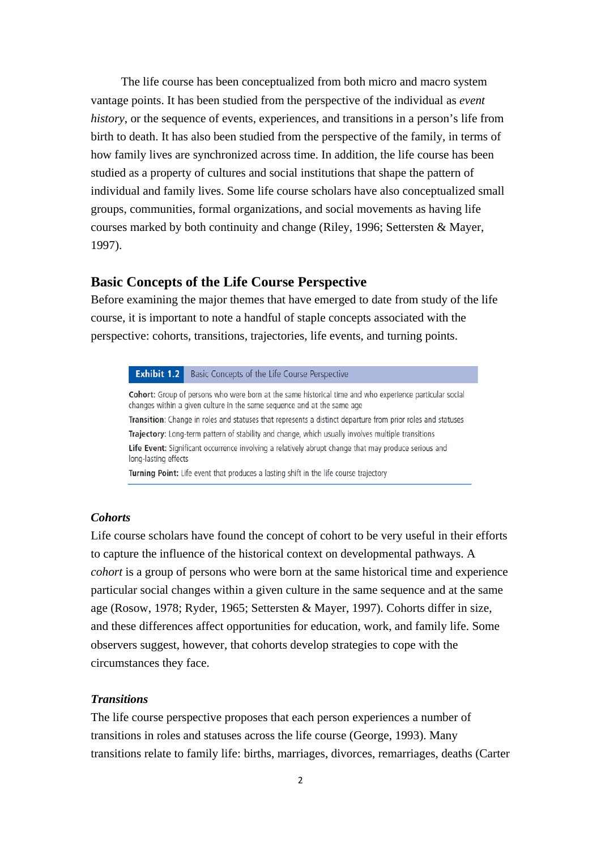The life course has been conceptualized from both micro and macro system vantage points. It has been studied from the perspective of the individual as *event history*, or the sequence of events, experiences, and transitions in a person's life from birth to death. It has also been studied from the perspective of the family, in terms of how family lives are synchronized across time. In addition, the life course has been studied as a property of cultures and social institutions that shape the pattern of individual and family lives. Some life course scholars have also conceptualized small groups, communities, formal organizations, and social movements as having life courses marked by both continuity and change (Riley, 1996; Settersten & Mayer, 1997).

# **Basic Concepts of the Life Course Perspective**

Before examining the major themes that have emerged to date from study of the life course, it is important to note a handful of staple concepts associated with the perspective: cohorts, transitions, trajectories, life events, and turning points.

#### Exhibit 1.2 Basic Concepts of the Life Course Perspective

Cohort: Group of persons who were born at the same historical time and who experience particular social changes within a given culture in the same sequence and at the same age Transition: Change in roles and statuses that represents a distinct departure from prior roles and statuses Trajectory: Long-term pattern of stability and change, which usually involves multiple transitions Life Event: Significant occurrence involving a relatively abrupt change that may produce serious and long-lasting effects Turning Point: Life event that produces a lasting shift in the life course trajectory

## *Cohorts*

Life course scholars have found the concept of cohort to be very useful in their efforts to capture the influence of the historical context on developmental pathways. A *cohort* is a group of persons who were born at the same historical time and experience particular social changes within a given culture in the same sequence and at the same age (Rosow, 1978; Ryder, 1965; Settersten & Mayer, 1997). Cohorts differ in size, and these differences affect opportunities for education, work, and family life. Some observers suggest, however, that cohorts develop strategies to cope with the circumstances they face.

#### *Transitions*

The life course perspective proposes that each person experiences a number of transitions in roles and statuses across the life course (George, 1993). Many transitions relate to family life: births, marriages, divorces, remarriages, deaths (Carter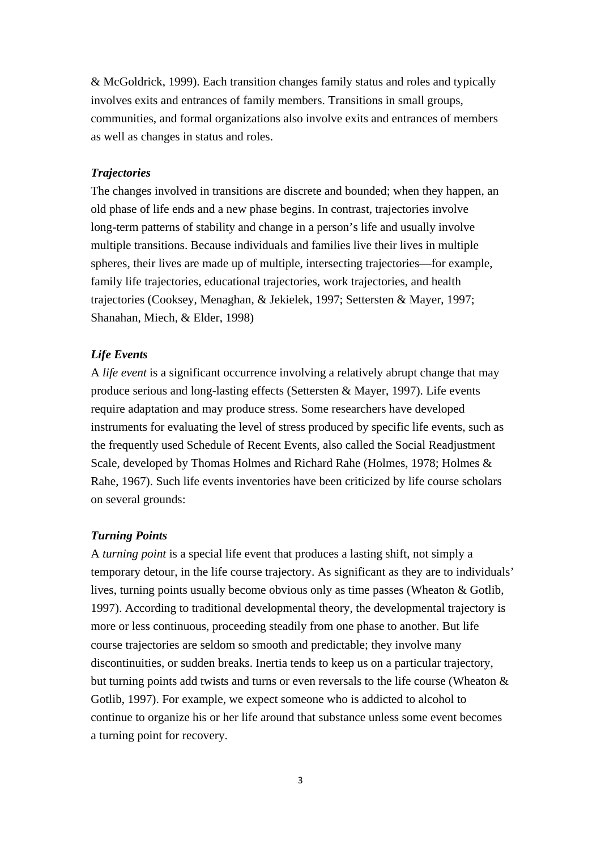& McGoldrick, 1999). Each transition changes family status and roles and typically involves exits and entrances of family members. Transitions in small groups, communities, and formal organizations also involve exits and entrances of members as well as changes in status and roles.

## *Trajectories*

The changes involved in transitions are discrete and bounded; when they happen, an old phase of life ends and a new phase begins. In contrast, trajectories involve long-term patterns of stability and change in a person's life and usually involve multiple transitions. Because individuals and families live their lives in multiple spheres, their lives are made up of multiple, intersecting trajectories—for example, family life trajectories, educational trajectories, work trajectories, and health trajectories (Cooksey, Menaghan, & Jekielek, 1997; Settersten & Mayer, 1997; Shanahan, Miech, & Elder, 1998)

## *Life Events*

A *life event* is a significant occurrence involving a relatively abrupt change that may produce serious and long-lasting effects (Settersten & Mayer, 1997). Life events require adaptation and may produce stress. Some researchers have developed instruments for evaluating the level of stress produced by specific life events, such as the frequently used Schedule of Recent Events, also called the Social Readjustment Scale, developed by Thomas Holmes and Richard Rahe (Holmes, 1978; Holmes & Rahe, 1967). Such life events inventories have been criticized by life course scholars on several grounds:

## *Turning Points*

A *turning point* is a special life event that produces a lasting shift, not simply a temporary detour, in the life course trajectory. As significant as they are to individuals' lives, turning points usually become obvious only as time passes (Wheaton & Gotlib, 1997). According to traditional developmental theory, the developmental trajectory is more or less continuous, proceeding steadily from one phase to another. But life course trajectories are seldom so smooth and predictable; they involve many discontinuities, or sudden breaks. Inertia tends to keep us on a particular trajectory, but turning points add twists and turns or even reversals to the life course (Wheaton & Gotlib, 1997). For example, we expect someone who is addicted to alcohol to continue to organize his or her life around that substance unless some event becomes a turning point for recovery.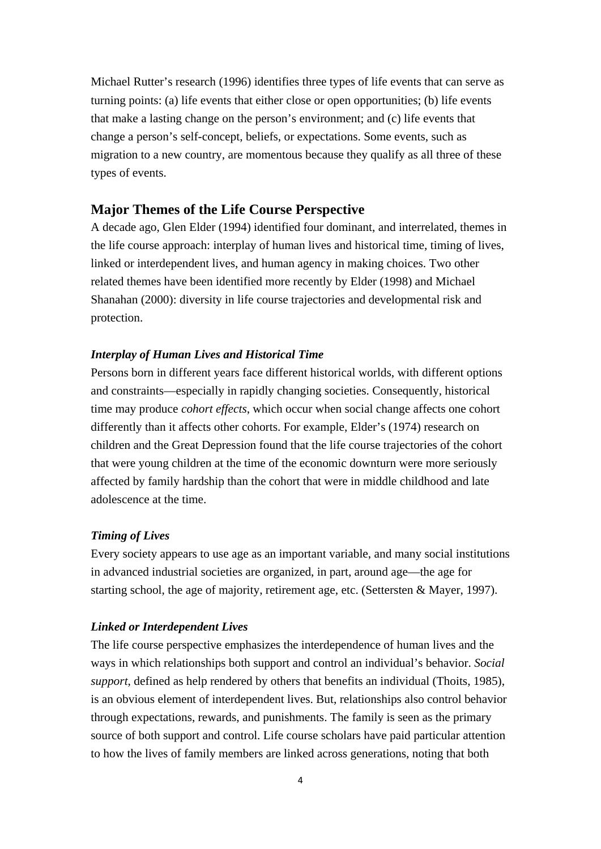Michael Rutter's research (1996) identifies three types of life events that can serve as turning points: (a) life events that either close or open opportunities; (b) life events that make a lasting change on the person's environment; and (c) life events that change a person's self-concept, beliefs, or expectations. Some events, such as migration to a new country, are momentous because they qualify as all three of these types of events.

## **Major Themes of the Life Course Perspective**

A decade ago, Glen Elder (1994) identified four dominant, and interrelated, themes in the life course approach: interplay of human lives and historical time, timing of lives, linked or interdependent lives, and human agency in making choices. Two other related themes have been identified more recently by Elder (1998) and Michael Shanahan (2000): diversity in life course trajectories and developmental risk and protection.

#### *Interplay of Human Lives and Historical Time*

Persons born in different years face different historical worlds, with different options and constraints—especially in rapidly changing societies. Consequently, historical time may produce *cohort effects*, which occur when social change affects one cohort differently than it affects other cohorts. For example, Elder's (1974) research on children and the Great Depression found that the life course trajectories of the cohort that were young children at the time of the economic downturn were more seriously affected by family hardship than the cohort that were in middle childhood and late adolescence at the time.

## *Timing of Lives*

Every society appears to use age as an important variable, and many social institutions in advanced industrial societies are organized, in part, around age—the age for starting school, the age of majority, retirement age, etc. (Settersten & Mayer, 1997).

#### *Linked or Interdependent Lives*

The life course perspective emphasizes the interdependence of human lives and the ways in which relationships both support and control an individual's behavior. *Social support*, defined as help rendered by others that benefits an individual (Thoits, 1985), is an obvious element of interdependent lives. But, relationships also control behavior through expectations, rewards, and punishments. The family is seen as the primary source of both support and control. Life course scholars have paid particular attention to how the lives of family members are linked across generations, noting that both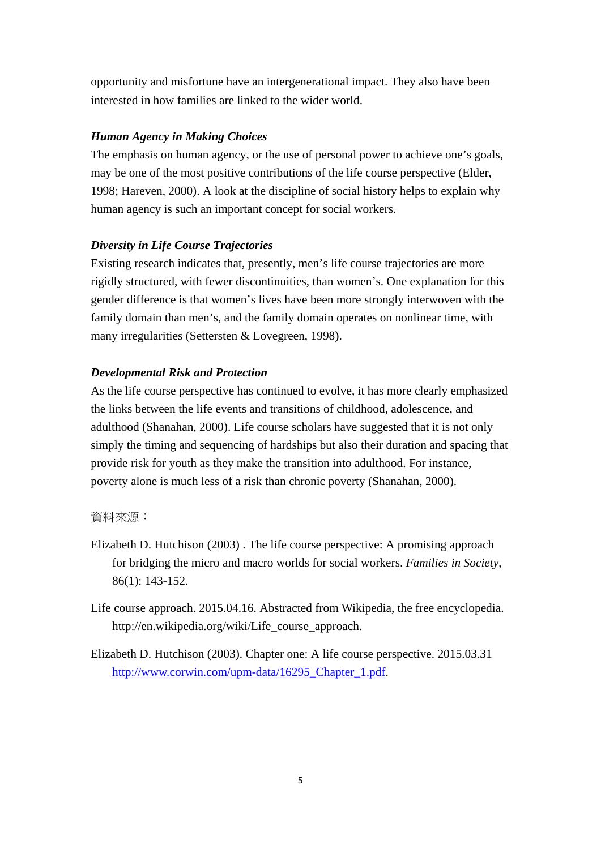opportunity and misfortune have an intergenerational impact. They also have been interested in how families are linked to the wider world.

# *Human Agency in Making Choices*

The emphasis on human agency, or the use of personal power to achieve one's goals, may be one of the most positive contributions of the life course perspective (Elder, 1998; Hareven, 2000). A look at the discipline of social history helps to explain why human agency is such an important concept for social workers.

# *Diversity in Life Course Trajectories*

Existing research indicates that, presently, men's life course trajectories are more rigidly structured, with fewer discontinuities, than women's. One explanation for this gender difference is that women's lives have been more strongly interwoven with the family domain than men's, and the family domain operates on nonlinear time, with many irregularities (Settersten & Lovegreen, 1998).

# *Developmental Risk and Protection*

As the life course perspective has continued to evolve, it has more clearly emphasized the links between the life events and transitions of childhood, adolescence, and adulthood (Shanahan, 2000). Life course scholars have suggested that it is not only simply the timing and sequencing of hardships but also their duration and spacing that provide risk for youth as they make the transition into adulthood. For instance, poverty alone is much less of a risk than chronic poverty (Shanahan, 2000).

# 資料來源:

- Elizabeth D. Hutchison (2003) . The life course perspective: A promising approach for bridging the micro and macro worlds for social workers. *Families in Society*, 86(1): 143-152.
- Life course approach. 2015.04.16. Abstracted from Wikipedia, the free encyclopedia. http://en.wikipedia.org/wiki/Life\_course\_approach.
- Elizabeth D. Hutchison (2003). Chapter one: A life course perspective. 2015.03.31 http://www.corwin.com/upm-data/16295\_Chapter\_1.pdf.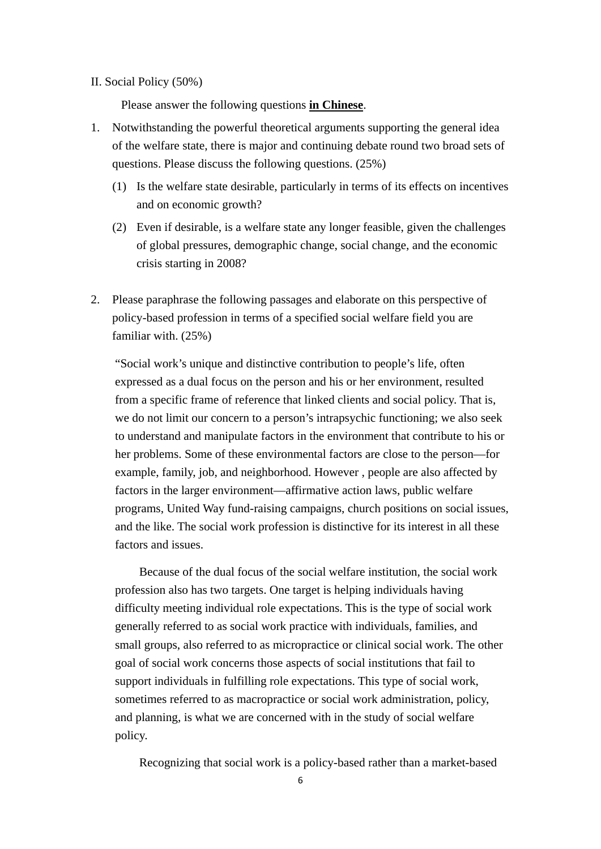II. Social Policy (50%)

Please answer the following questions **in Chinese**.

- 1. Notwithstanding the powerful theoretical arguments supporting the general idea of the welfare state, there is major and continuing debate round two broad sets of questions. Please discuss the following questions. (25%)
	- (1) Is the welfare state desirable, particularly in terms of its effects on incentives and on economic growth?
	- (2) Even if desirable, is a welfare state any longer feasible, given the challenges of global pressures, demographic change, social change, and the economic crisis starting in 2008?
- 2. Please paraphrase the following passages and elaborate on this perspective of policy-based profession in terms of a specified social welfare field you are familiar with. (25%)

"Social work's unique and distinctive contribution to people's life, often expressed as a dual focus on the person and his or her environment, resulted from a specific frame of reference that linked clients and social policy. That is, we do not limit our concern to a person's intrapsychic functioning; we also seek to understand and manipulate factors in the environment that contribute to his or her problems. Some of these environmental factors are close to the person—for example, family, job, and neighborhood. However , people are also affected by factors in the larger environment—affirmative action laws, public welfare programs, United Way fund-raising campaigns, church positions on social issues, and the like. The social work profession is distinctive for its interest in all these factors and issues.

Because of the dual focus of the social welfare institution, the social work profession also has two targets. One target is helping individuals having difficulty meeting individual role expectations. This is the type of social work generally referred to as social work practice with individuals, families, and small groups, also referred to as micropractice or clinical social work. The other goal of social work concerns those aspects of social institutions that fail to support individuals in fulfilling role expectations. This type of social work, sometimes referred to as macropractice or social work administration, policy, and planning, is what we are concerned with in the study of social welfare policy.

Recognizing that social work is a policy-based rather than a market-based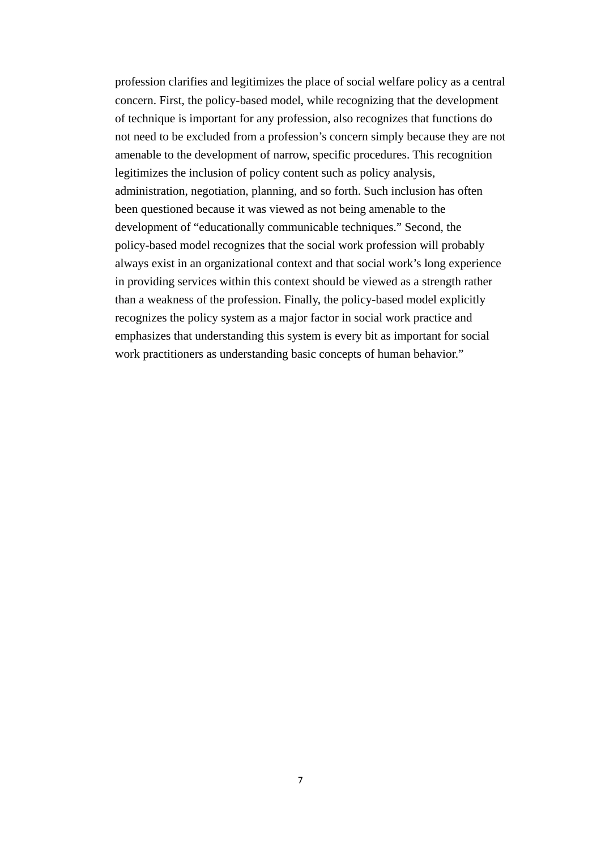profession clarifies and legitimizes the place of social welfare policy as a central concern. First, the policy-based model, while recognizing that the development of technique is important for any profession, also recognizes that functions do not need to be excluded from a profession's concern simply because they are not amenable to the development of narrow, specific procedures. This recognition legitimizes the inclusion of policy content such as policy analysis, administration, negotiation, planning, and so forth. Such inclusion has often been questioned because it was viewed as not being amenable to the development of "educationally communicable techniques." Second, the policy-based model recognizes that the social work profession will probably always exist in an organizational context and that social work's long experience in providing services within this context should be viewed as a strength rather than a weakness of the profession. Finally, the policy-based model explicitly recognizes the policy system as a major factor in social work practice and emphasizes that understanding this system is every bit as important for social work practitioners as understanding basic concepts of human behavior."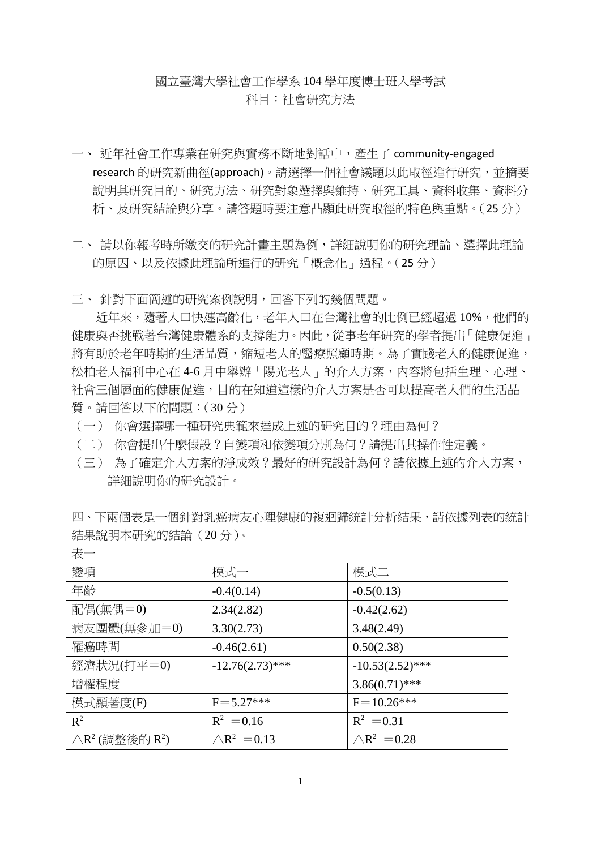# 國立臺灣大學社會工作學系 104 學年度博士班入學考試 科目:社會研究方法

- 一、 近年社會工作專業在研究與實務不斷地對話中,產生了 community‐engaged research 的研究新曲徑(approach)。請選擇一個社會議題以此取徑進行研究,並摘要 說明其研究目的、研究方法、研究對象選擇與維持、研究工具、資料收集、資料分 析、及研究結論與分享。請答題時要注意凸顯此研究取徑的特色與重點。(25 分)
- 二、 請以你報考時所繳交的研究計畫主題為例,詳細說明你的研究理論、選擇此理論 的原因、以及依據此理論所進行的研究「概念化」過程。(25 分)

三、 針對下面簡述的研究案例說明,回答下列的幾個問題。

折年來,隨著人口快速高齡化,老年人口在台灣社會的比例已經超過 10%,他們的 健康與否挑戰著台灣健康體系的支撐能力。因此,從事老年研究的學者提出「健康促進」 將有助於老年時期的生活品質,縮短老人的醫療照顧時期。為了實踐老人的健康促進, 松柏老人福利中心在 4-6 月中舉辦「陽光老人」的介入方案,內容將包括生理、心理、 社會三個層面的健康促進,目的在知道這樣的介入方案是否可以提高老人們的生活品 質。請回答以下的問題:(30 分)

- (一) 你會選擇哪一種研究典範來達成上述的研究目的?理由為何?
- (二) 你會提出什麼假設?自變項和依變項分別為何?請提出其操作性定義。
- (三) 為了確定介入方案的淨成效?最好的研究設計為何?請依據上述的介入方案, 詳細說明你的研究設計。

四、下兩個表是一個針對乳癌病友心理健康的複迴歸統計分析結果,請依據列表的統計 結果說明本研究的結論(20 分)。

| 變項                                                | 模式一                    | 模式二                    |  |
|---------------------------------------------------|------------------------|------------------------|--|
| 年齡                                                | $-0.4(0.14)$           | $-0.5(0.13)$           |  |
| 配偶(無偶= $0$ )                                      | 2.34(2.82)             | $-0.42(2.62)$          |  |
| 病友團體(無參加=0)                                       | 3.30(2.73)             | 3.48(2.49)             |  |
| 罹癌時間                                              | $-0.46(2.61)$          | 0.50(2.38)             |  |
| 經濟狀況(打平=0)                                        | $-12.76(2.73)$ ***     | $-10.53(2.52)$ ***     |  |
| 增權程度                                              |                        | $3.86(0.71)$ ***       |  |
| 模式顯著度(F)                                          | $F = 5.27***$          | $F = 10.26$ ***        |  |
| $\mathbb{R}^2$                                    | $R^2 = 0.16$           | $R^2 = 0.31$           |  |
| $\triangle$ R <sup>2</sup> (調整後的 R <sup>2</sup> ) | $\triangle R^2 = 0.13$ | $\triangle R^2 = 0.28$ |  |

表一